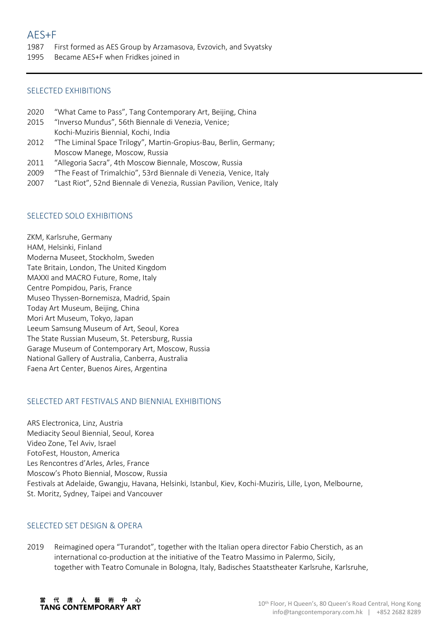- 1987 First formed as AES Group by Arzamasova, Evzovich, and Svyatsky
- 1995 Became AES+F when Fridkes joined in

# SELECTED EXHIBITIONS

- 2020 "What Came to Pass", Tang Contemporary Art, Beijing, China
- 2015 "Inverso Mundus", 56th Biennale di Venezia, Venice; Kochi-Muziris Biennial, Kochi, India
- 2012 "The Liminal Space Trilogy", Martin-Gropius-Bau, Berlin, Germany; Moscow Manege, Moscow, Russia
- 2011 "Allegoria Sacra", 4th Moscow Biennale, Moscow, Russia
- 2009 "The Feast of Trimalchio", 53rd Biennale di Venezia, Venice, Italy
- 2007 "Last Riot", 52nd Biennale di Venezia, Russian Pavilion, Venice, Italy

## SELECTED SOLO EXHIBITIONS

ZKM, Karlsruhe, Germany HAM, Helsinki, Finland Moderna Museet, Stockholm, Sweden Tate Britain, London, The United Kingdom MAXXI and MACRO Future, Rome, Italy Centre Pompidou, Paris, France Museo Thyssen-Bornemisza, Madrid, Spain Today Art Museum, Beijing, China Mori Art Museum, Tokyo, Japan Leeum Samsung Museum of Art, Seoul, Korea The State Russian Museum, St. Petersburg, Russia Garage Museum of Contemporary Art, Moscow, Russia National Gallery of Australia, Canberra, Australia Faena Art Center, Buenos Aires, Argentina

# SELECTED ART FESTIVALS AND BIENNIAL EXHIBITIONS

ARS Electronica, Linz, Austria Mediacity Seoul Biennial, Seoul, Korea Video Zone, Tel Aviv, Israel FotoFest, Houston, America Les Rencontres d'Arles, Arles, France Moscow's Photo Biennial, Moscow, Russia Festivals at Adelaide, Gwangju, Havana, Helsinki, Istanbul, Kiev, Kochi-Muziris, Lille, Lyon, Melbourne, St. Moritz, Sydney, Taipei and Vancouver

### SELECTED SET DESIGN & OPERA

2019 Reimagined opera "Turandot", together with the Italian opera director Fabio Cherstich, as an international co-production at the initiative of the Teatro Massimo in Palermo, Sicily, together with Teatro Comunale in Bologna, Italy, Badisches Staatstheater Karlsruhe, Karlsruhe,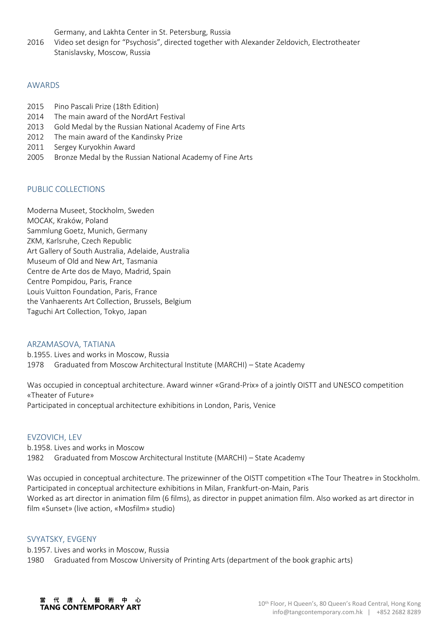Germany, and Lakhta Center in St. Petersburg, Russia

2016 Video set design for "Psychosis", directed together with Alexander Zeldovich, Electrotheater Stanislavsky, Moscow, Russia

### AWARDS

- 2015 Pino Pascali Prize (18th Edition)
- 2014 The main award of the NordArt Festival
- 2013 Gold Medal by the Russian National Academy of Fine Arts
- 2012 The main award of the Kandinsky Prize
- 2011 Sergey Kuryokhin Award
- 2005 Bronze Medal by the Russian National Academy of Fine Arts

## PUBLIC COLLECTIONS

Moderna Museet, Stockholm, Sweden MOCAK, Kraków, Poland Sammlung Goetz, Munich, Germany ZKM, Karlsruhe, Czech Republic Art Gallery of South Australia, Adelaide, Australia Museum of Old and New Art, Tasmania Centre de Arte dos de Mayo, Madrid, Spain Centre Pompidou, Paris, France Louis Vuitton Foundation, Paris, France the Vanhaerents Art Collection, Brussels, Belgium Taguchi Art Collection, Tokyo, Japan

#### ARZAMASOVA, TATIANA

b.1955. Lives and works in Moscow, Russia 1978 Graduated from Moscow Architectural Institute (MARCHI) – State Academy

Was occupied in conceptual architecture. Award winner «Grand-Prix» of a jointly OISTT and UNESCO competition «Theater of Future» Participated in conceptual architecture exhibitions in London, Paris, Venice

#### EVZOVICH, LEV

b.1958. Lives and works in Moscow 1982 Graduated from Moscow Architectural Institute (MARCHI) – State Academy

Was occupied in conceptual architecture. The prizewinner of the OISTT competition «The Tour Theatre» in Stockholm. Participated in conceptual architecture exhibitions in Milan, Frankfurt-on-Main, Paris Worked as art director in animation film (6 films), as director in puppet animation film. Also worked as art director in film «Sunset» (live action, «Mosfilm» studio)

### SVYATSKY, EVGENY

b.1957. Lives and works in Moscow, Russia 1980 Graduated from Moscow University of Printing Arts (department of the book graphic arts)